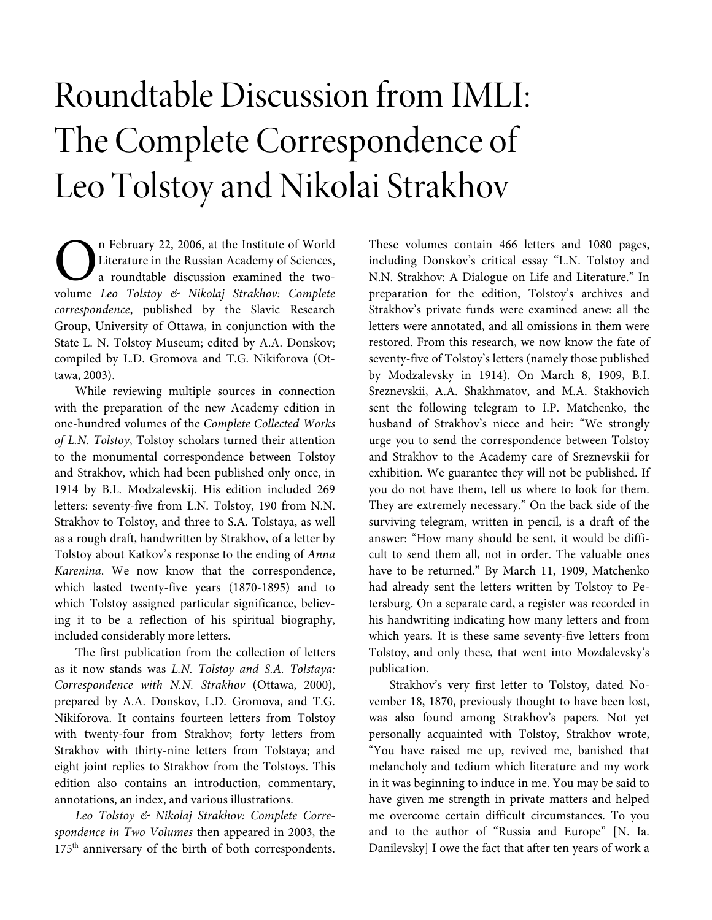# Roundtable Discussion from IMLI: The Complete Correspondence of Leo Tolstoy and Nikolai Strakhov

n February 22, 2006, at the Institute of World Literature in the Russian Academy of Sciences, a roundtable discussion examined the two-**C** In February 22, 2006, at the Institute of World<br>Literature in the Russian Academy of Sciences,<br>a roundtable discussion examined the two-<br>volume Leo Tolstoy & Nikolaj Strakhov: Complete correspondence, published by the Slavic Research Group, University of Ottawa, in conjunction with the State L. N. Tolstoy Museum; edited by A.A. Donskov; compiled by L.D. Gromova and T.G. Nikiforova (Ottawa, 2003).

While reviewing multiple sources in connection with the preparation of the new Academy edition in one-hundred volumes of the Complete Collected Works of L.N. Tolstoy, Tolstoy scholars turned their attention to the monumental correspondence between Tolstoy and Strakhov, which had been published only once, in 1914 by B.L. Modzalevskij. His edition included 269 letters: seventy-five from L.N. Tolstoy, 190 from N.N. Strakhov to Tolstoy, and three to S.A. Tolstaya, as well as a rough draft, handwritten by Strakhov, of a letter by Tolstoy about Katkov's response to the ending of Anna Karenina. We now know that the correspondence, which lasted twenty-five years (1870-1895) and to which Tolstoy assigned particular significance, believing it to be a reflection of his spiritual biography, included considerably more letters.

The first publication from the collection of letters as it now stands was L.N. Tolstoy and S.A. Tolstaya: Correspondence with N.N. Strakhov (Ottawa, 2000), prepared by A.A. Donskov, L.D. Gromova, and T.G. Nikiforova. It contains fourteen letters from Tolstoy with twenty-four from Strakhov; forty letters from Strakhov with thirty-nine letters from Tolstaya; and eight joint replies to Strakhov from the Tolstoys. This edition also contains an introduction, commentary, annotations, an index, and various illustrations.

Leo Tolstoy & Nikolaj Strakhov: Complete Correspondence in Two Volumes then appeared in 2003, the 175<sup>th</sup> anniversary of the birth of both correspondents.

These volumes contain 466 letters and 1080 pages, including Donskov's critical essay "L.N. Tolstoy and N.N. Strakhov: A Dialogue on Life and Literature." In preparation for the edition, Tolstoy's archives and Strakhov's private funds were examined anew: all the letters were annotated, and all omissions in them were restored. From this research, we now know the fate of seventy-five of Tolstoy's letters (namely those published by Modzalevsky in 1914). On March 8, 1909, B.I. Sreznevskii, A.A. Shakhmatov, and M.A. Stakhovich sent the following telegram to I.P. Matchenko, the husband of Strakhov's niece and heir: "We strongly urge you to send the correspondence between Tolstoy and Strakhov to the Academy care of Sreznevskii for exhibition. We guarantee they will not be published. If you do not have them, tell us where to look for them. They are extremely necessary." On the back side of the surviving telegram, written in pencil, is a draft of the answer: "How many should be sent, it would be difficult to send them all, not in order. The valuable ones have to be returned." By March 11, 1909, Matchenko had already sent the letters written by Tolstoy to Petersburg. On a separate card, a register was recorded in his handwriting indicating how many letters and from which years. It is these same seventy-five letters from Tolstoy, and only these, that went into Mozdalevsky's publication.

Strakhov's very first letter to Tolstoy, dated November 18, 1870, previously thought to have been lost, was also found among Strakhov's papers. Not yet personally acquainted with Tolstoy, Strakhov wrote, "You have raised me up, revived me, banished that melancholy and tedium which literature and my work in it was beginning to induce in me. You may be said to have given me strength in private matters and helped me overcome certain difficult circumstances. To you and to the author of "Russia and Europe" [N. Ia. Danilevsky] I owe the fact that after ten years of work a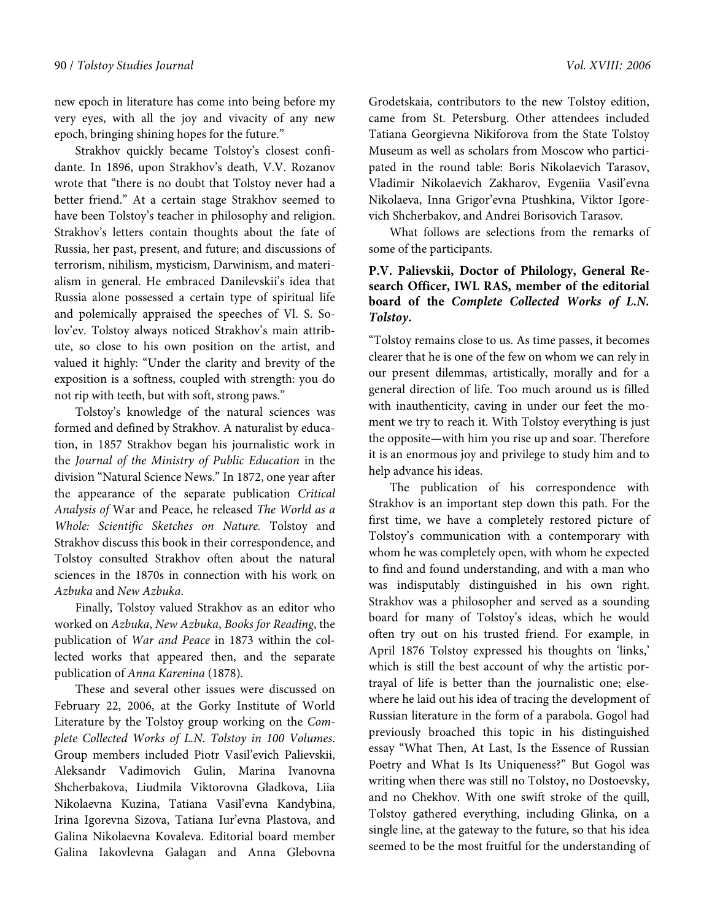new epoch in literature has come into being before my very eyes, with all the joy and vivacity of any new epoch, bringing shining hopes for the future."

Strakhov quickly became Tolstoy's closest confidante. In 1896, upon Strakhov's death, V.V. Rozanov wrote that "there is no doubt that Tolstoy never had a better friend." At a certain stage Strakhov seemed to have been Tolstoy's teacher in philosophy and religion. Strakhov's letters contain thoughts about the fate of Russia, her past, present, and future; and discussions of terrorism, nihilism, mysticism, Darwinism, and materialism in general. He embraced Danilevskii's idea that Russia alone possessed a certain type of spiritual life and polemically appraised the speeches of Vl. S. Solov'ev. Tolstoy always noticed Strakhov's main attribute, so close to his own position on the artist, and valued it highly: "Under the clarity and brevity of the exposition is a softness, coupled with strength: you do not rip with teeth, but with soft, strong paws."

Tolstoy's knowledge of the natural sciences was formed and defined by Strakhov. A naturalist by education, in 1857 Strakhov began his journalistic work in the Journal of the Ministry of Public Education in the division "Natural Science News." In 1872, one year after the appearance of the separate publication Critical Analysis of War and Peace, he released The World as a Whole: Scientific Sketches on Nature. Tolstoy and Strakhov discuss this book in their correspondence, and Tolstoy consulted Strakhov often about the natural sciences in the 1870s in connection with his work on Azbuka and New Azbuka.

Finally, Tolstoy valued Strakhov as an editor who worked on Azbuka, New Azbuka, Books for Reading, the publication of War and Peace in 1873 within the collected works that appeared then, and the separate publication of Anna Karenina (1878).

These and several other issues were discussed on February 22, 2006, at the Gorky Institute of World Literature by the Tolstoy group working on the Complete Collected Works of L.N. Tolstoy in 100 Volumes. Group members included Piotr Vasil'evich Palievskii, Aleksandr Vadimovich Gulin, Marina Ivanovna Shcherbakova, Liudmila Viktorovna Gladkova, Liia Nikolaevna Kuzina, Tatiana Vasil'evna Kandybina, Irina Igorevna Sizova, Tatiana Iur'evna Plastova, and Galina Nikolaevna Kovaleva. Editorial board member Galina Iakovlevna Galagan and Anna Glebovna Grodetskaia, contributors to the new Tolstoy edition, came from St. Petersburg. Other attendees included Tatiana Georgievna Nikiforova from the State Tolstoy Museum as well as scholars from Moscow who participated in the round table: Boris Nikolaevich Tarasov,

Vladimir Nikolaevich Zakharov, Evgeniia Vasil'evna Nikolaeva, Inna Grigor'evna Ptushkina, Viktor Igorevich Shcherbakov, and Andrei Borisovich Tarasov.

What follows are selections from the remarks of some of the participants.

# **P.V. Palievskii, Doctor of Philology, General Research Officer, IWL RAS, member of the editorial board of the Complete Collected Works of L.N. Tolstoy.**

"Tolstoy remains close to us. As time passes, it becomes clearer that he is one of the few on whom we can rely in our present dilemmas, artistically, morally and for a general direction of life. Too much around us is filled with inauthenticity, caving in under our feet the moment we try to reach it. With Tolstoy everything is just the opposite—with him you rise up and soar. Therefore it is an enormous joy and privilege to study him and to help advance his ideas.

The publication of his correspondence with Strakhov is an important step down this path. For the first time, we have a completely restored picture of Tolstoy's communication with a contemporary with whom he was completely open, with whom he expected to find and found understanding, and with a man who was indisputably distinguished in his own right. Strakhov was a philosopher and served as a sounding board for many of Tolstoy's ideas, which he would often try out on his trusted friend. For example, in April 1876 Tolstoy expressed his thoughts on 'links,' which is still the best account of why the artistic portrayal of life is better than the journalistic one; elsewhere he laid out his idea of tracing the development of Russian literature in the form of a parabola. Gogol had previously broached this topic in his distinguished essay "What Then, At Last, Is the Essence of Russian Poetry and What Is Its Uniqueness?" But Gogol was writing when there was still no Tolstoy, no Dostoevsky, and no Chekhov. With one swift stroke of the quill, Tolstoy gathered everything, including Glinka, on a single line, at the gateway to the future, so that his idea seemed to be the most fruitful for the understanding of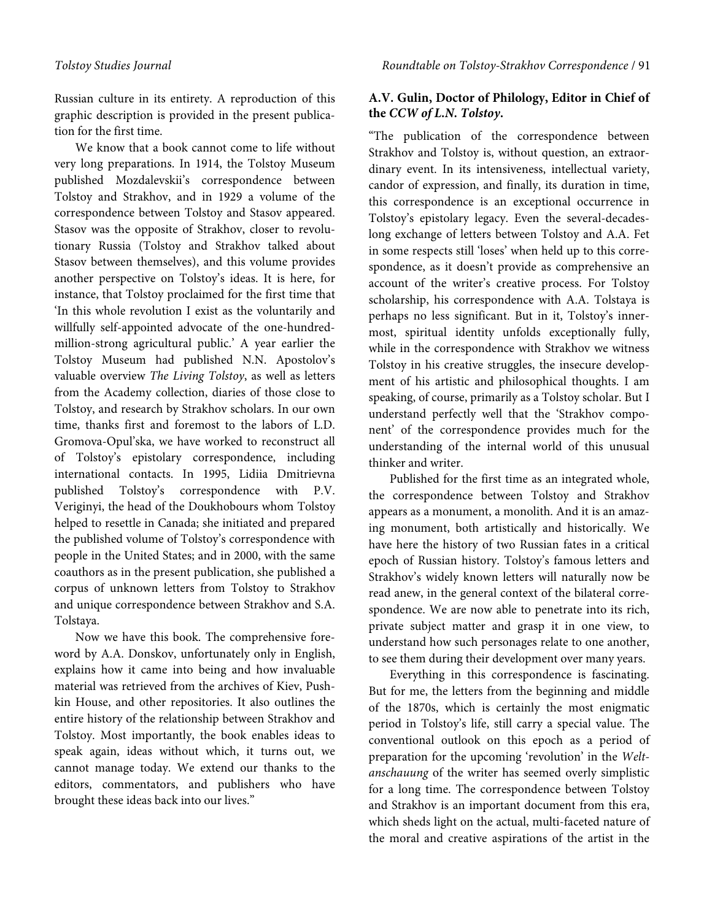Russian culture in its entirety. A reproduction of this graphic description is provided in the present publication for the first time.

We know that a book cannot come to life without very long preparations. In 1914, the Tolstoy Museum published Mozdalevskii's correspondence between Tolstoy and Strakhov, and in 1929 a volume of the correspondence between Tolstoy and Stasov appeared. Stasov was the opposite of Strakhov, closer to revolutionary Russia (Tolstoy and Strakhov talked about Stasov between themselves), and this volume provides another perspective on Tolstoy's ideas. It is here, for instance, that Tolstoy proclaimed for the first time that 'In this whole revolution I exist as the voluntarily and willfully self-appointed advocate of the one-hundredmillion-strong agricultural public.' A year earlier the Tolstoy Museum had published N.N. Apostolov's valuable overview The Living Tolstoy, as well as letters from the Academy collection, diaries of those close to Tolstoy, and research by Strakhov scholars. In our own time, thanks first and foremost to the labors of L.D. Gromova-Opul'ska, we have worked to reconstruct all of Tolstoy's epistolary correspondence, including international contacts. In 1995, Lidiia Dmitrievna published Tolstoy's correspondence with P.V. Veriginyi, the head of the Doukhobours whom Tolstoy helped to resettle in Canada; she initiated and prepared the published volume of Tolstoy's correspondence with people in the United States; and in 2000, with the same coauthors as in the present publication, she published a corpus of unknown letters from Tolstoy to Strakhov and unique correspondence between Strakhov and S.A. Tolstaya.

Now we have this book. The comprehensive foreword by A.A. Donskov, unfortunately only in English, explains how it came into being and how invaluable material was retrieved from the archives of Kiev, Pushkin House, and other repositories. It also outlines the entire history of the relationship between Strakhov and Tolstoy. Most importantly, the book enables ideas to speak again, ideas without which, it turns out, we cannot manage today. We extend our thanks to the editors, commentators, and publishers who have brought these ideas back into our lives."

### **A.V. Gulin, Doctor of Philology, Editor in Chief of the CCW of L.N. Tolstoy.**

"The publication of the correspondence between Strakhov and Tolstoy is, without question, an extraordinary event. In its intensiveness, intellectual variety, candor of expression, and finally, its duration in time, this correspondence is an exceptional occurrence in Tolstoy's epistolary legacy. Even the several-decadeslong exchange of letters between Tolstoy and A.A. Fet in some respects still 'loses' when held up to this correspondence, as it doesn't provide as comprehensive an account of the writer's creative process. For Tolstoy scholarship, his correspondence with A.A. Tolstaya is perhaps no less significant. But in it, Tolstoy's innermost, spiritual identity unfolds exceptionally fully, while in the correspondence with Strakhov we witness Tolstoy in his creative struggles, the insecure development of his artistic and philosophical thoughts. I am speaking, of course, primarily as a Tolstoy scholar. But I understand perfectly well that the 'Strakhov component' of the correspondence provides much for the understanding of the internal world of this unusual thinker and writer.

Published for the first time as an integrated whole, the correspondence between Tolstoy and Strakhov appears as a monument, a monolith. And it is an amazing monument, both artistically and historically. We have here the history of two Russian fates in a critical epoch of Russian history. Tolstoy's famous letters and Strakhov's widely known letters will naturally now be read anew, in the general context of the bilateral correspondence. We are now able to penetrate into its rich, private subject matter and grasp it in one view, to understand how such personages relate to one another, to see them during their development over many years.

Everything in this correspondence is fascinating. But for me, the letters from the beginning and middle of the 1870s, which is certainly the most enigmatic period in Tolstoy's life, still carry a special value. The conventional outlook on this epoch as a period of preparation for the upcoming 'revolution' in the Weltanschauung of the writer has seemed overly simplistic for a long time. The correspondence between Tolstoy and Strakhov is an important document from this era, which sheds light on the actual, multi-faceted nature of the moral and creative aspirations of the artist in the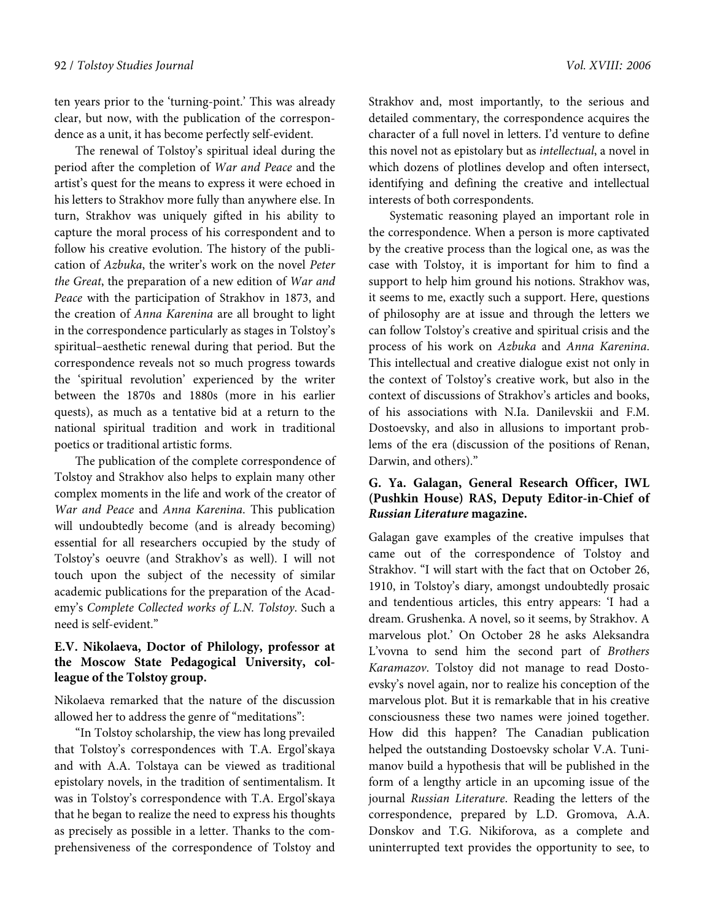ten years prior to the 'turning-point.' This was already clear, but now, with the publication of the correspondence as a unit, it has become perfectly self-evident.

The renewal of Tolstoy's spiritual ideal during the period after the completion of War and Peace and the artist's quest for the means to express it were echoed in his letters to Strakhov more fully than anywhere else. In turn, Strakhov was uniquely gifted in his ability to capture the moral process of his correspondent and to follow his creative evolution. The history of the publication of Azbuka, the writer's work on the novel Peter the Great, the preparation of a new edition of War and Peace with the participation of Strakhov in 1873, and the creation of Anna Karenina are all brought to light in the correspondence particularly as stages in Tolstoy's spiritual–aesthetic renewal during that period. But the correspondence reveals not so much progress towards the 'spiritual revolution' experienced by the writer between the 1870s and 1880s (more in his earlier quests), as much as a tentative bid at a return to the national spiritual tradition and work in traditional poetics or traditional artistic forms.

The publication of the complete correspondence of Tolstoy and Strakhov also helps to explain many other complex moments in the life and work of the creator of War and Peace and Anna Karenina. This publication will undoubtedly become (and is already becoming) essential for all researchers occupied by the study of Tolstoy's oeuvre (and Strakhov's as well). I will not touch upon the subject of the necessity of similar academic publications for the preparation of the Academy's Complete Collected works of L.N. Tolstoy. Such a need is self-evident."

# **E.V. Nikolaeva, Doctor of Philology, professor at the Moscow State Pedagogical University, colleague of the Tolstoy group.**

Nikolaeva remarked that the nature of the discussion allowed her to address the genre of "meditations":

"In Tolstoy scholarship, the view has long prevailed that Tolstoy's correspondences with T.A. Ergol'skaya and with A.A. Tolstaya can be viewed as traditional epistolary novels, in the tradition of sentimentalism. It was in Tolstoy's correspondence with T.A. Ergol'skaya that he began to realize the need to express his thoughts as precisely as possible in a letter. Thanks to the comprehensiveness of the correspondence of Tolstoy and Strakhov and, most importantly, to the serious and detailed commentary, the correspondence acquires the character of a full novel in letters. I'd venture to define this novel not as epistolary but as intellectual, a novel in which dozens of plotlines develop and often intersect, identifying and defining the creative and intellectual interests of both correspondents.

Systematic reasoning played an important role in the correspondence. When a person is more captivated by the creative process than the logical one, as was the case with Tolstoy, it is important for him to find a support to help him ground his notions. Strakhov was, it seems to me, exactly such a support. Here, questions of philosophy are at issue and through the letters we can follow Tolstoy's creative and spiritual crisis and the process of his work on Azbuka and Anna Karenina. This intellectual and creative dialogue exist not only in the context of Tolstoy's creative work, but also in the context of discussions of Strakhov's articles and books, of his associations with N.Ia. Danilevskii and F.M. Dostoevsky, and also in allusions to important problems of the era (discussion of the positions of Renan, Darwin, and others)."

## **G. Ya. Galagan, General Research Officer, IWL (Pushkin House) RAS, Deputy Editor-in-Chief of Russian Literature magazine.**

Galagan gave examples of the creative impulses that came out of the correspondence of Tolstoy and Strakhov. "I will start with the fact that on October 26, 1910, in Tolstoy's diary, amongst undoubtedly prosaic and tendentious articles, this entry appears: 'I had a dream. Grushenka. A novel, so it seems, by Strakhov. A marvelous plot.' On October 28 he asks Aleksandra L'vovna to send him the second part of Brothers Karamazov. Tolstoy did not manage to read Dostoevsky's novel again, nor to realize his conception of the marvelous plot. But it is remarkable that in his creative consciousness these two names were joined together. How did this happen? The Canadian publication helped the outstanding Dostoevsky scholar V.A. Tunimanov build a hypothesis that will be published in the form of a lengthy article in an upcoming issue of the journal Russian Literature. Reading the letters of the correspondence, prepared by L.D. Gromova, A.A. Donskov and T.G. Nikiforova, as a complete and uninterrupted text provides the opportunity to see, to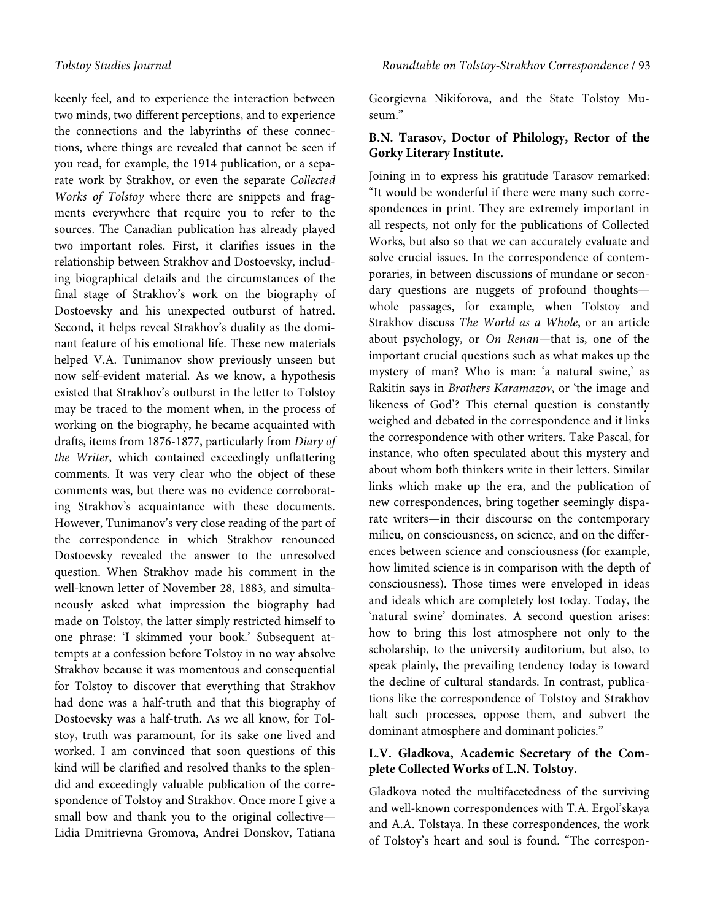keenly feel, and to experience the interaction between two minds, two different perceptions, and to experience the connections and the labyrinths of these connections, where things are revealed that cannot be seen if you read, for example, the 1914 publication, or a separate work by Strakhov, or even the separate Collected Works of Tolstoy where there are snippets and fragments everywhere that require you to refer to the sources. The Canadian publication has already played two important roles. First, it clarifies issues in the relationship between Strakhov and Dostoevsky, including biographical details and the circumstances of the final stage of Strakhov's work on the biography of Dostoevsky and his unexpected outburst of hatred. Second, it helps reveal Strakhov's duality as the dominant feature of his emotional life. These new materials helped V.A. Tunimanov show previously unseen but now self-evident material. As we know, a hypothesis existed that Strakhov's outburst in the letter to Tolstoy may be traced to the moment when, in the process of working on the biography, he became acquainted with drafts, items from 1876-1877, particularly from Diary of the Writer, which contained exceedingly unflattering comments. It was very clear who the object of these comments was, but there was no evidence corroborating Strakhov's acquaintance with these documents. However, Tunimanov's very close reading of the part of the correspondence in which Strakhov renounced Dostoevsky revealed the answer to the unresolved question. When Strakhov made his comment in the well-known letter of November 28, 1883, and simultaneously asked what impression the biography had made on Tolstoy, the latter simply restricted himself to one phrase: 'I skimmed your book.' Subsequent attempts at a confession before Tolstoy in no way absolve Strakhov because it was momentous and consequential for Tolstoy to discover that everything that Strakhov had done was a half-truth and that this biography of Dostoevsky was a half-truth. As we all know, for Tolstoy, truth was paramount, for its sake one lived and worked. I am convinced that soon questions of this kind will be clarified and resolved thanks to the splendid and exceedingly valuable publication of the correspondence of Tolstoy and Strakhov. Once more I give a small bow and thank you to the original collective— Lidia Dmitrievna Gromova, Andrei Donskov, Tatiana

Georgievna Nikiforova, and the State Tolstoy Museum."

#### **B.N. Tarasov, Doctor of Philology, Rector of the Gorky Literary Institute.**

Joining in to express his gratitude Tarasov remarked: "It would be wonderful if there were many such correspondences in print. They are extremely important in all respects, not only for the publications of Collected Works, but also so that we can accurately evaluate and solve crucial issues. In the correspondence of contemporaries, in between discussions of mundane or secondary questions are nuggets of profound thoughts whole passages, for example, when Tolstoy and Strakhov discuss The World as a Whole, or an article about psychology, or On Renan—that is, one of the important crucial questions such as what makes up the mystery of man? Who is man: 'a natural swine,' as Rakitin says in Brothers Karamazov, or 'the image and likeness of God'? This eternal question is constantly weighed and debated in the correspondence and it links the correspondence with other writers. Take Pascal, for instance, who often speculated about this mystery and about whom both thinkers write in their letters. Similar links which make up the era, and the publication of new correspondences, bring together seemingly disparate writers—in their discourse on the contemporary milieu, on consciousness, on science, and on the differences between science and consciousness (for example, how limited science is in comparison with the depth of consciousness). Those times were enveloped in ideas and ideals which are completely lost today. Today, the 'natural swine' dominates. A second question arises: how to bring this lost atmosphere not only to the scholarship, to the university auditorium, but also, to speak plainly, the prevailing tendency today is toward the decline of cultural standards. In contrast, publications like the correspondence of Tolstoy and Strakhov halt such processes, oppose them, and subvert the dominant atmosphere and dominant policies."

#### **L.V. Gladkova, Academic Secretary of the Complete Collected Works of L.N. Tolstoy.**

Gladkova noted the multifacetedness of the surviving and well-known correspondences with T.A. Ergol'skaya and A.A. Tolstaya. In these correspondences, the work of Tolstoy's heart and soul is found. "The correspon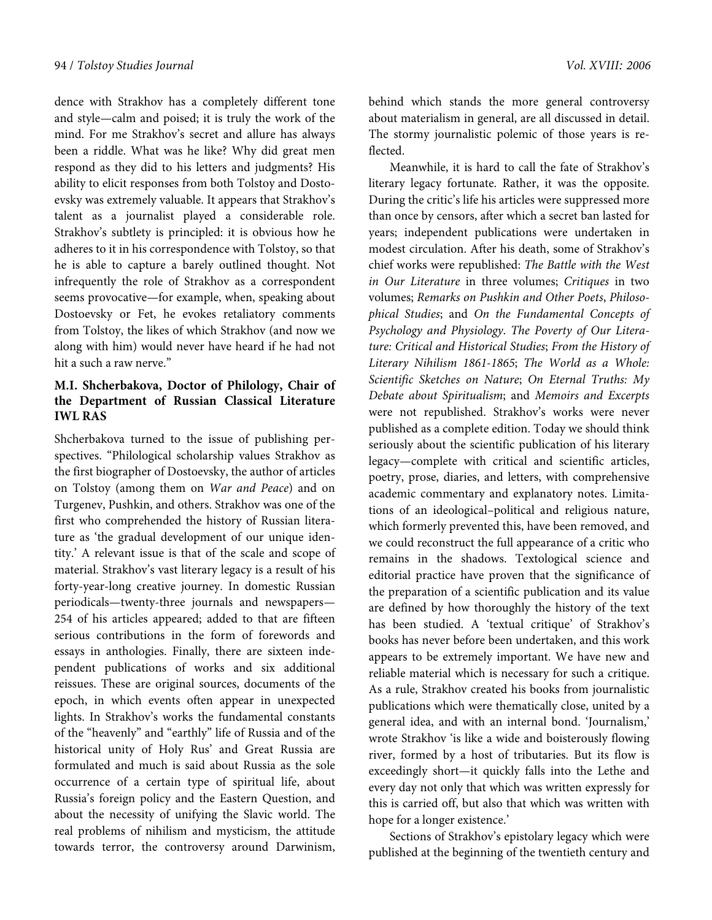dence with Strakhov has a completely different tone and style—calm and poised; it is truly the work of the mind. For me Strakhov's secret and allure has always been a riddle. What was he like? Why did great men respond as they did to his letters and judgments? His ability to elicit responses from both Tolstoy and Dostoevsky was extremely valuable. It appears that Strakhov's talent as a journalist played a considerable role. Strakhov's subtlety is principled: it is obvious how he adheres to it in his correspondence with Tolstoy, so that he is able to capture a barely outlined thought. Not infrequently the role of Strakhov as a correspondent seems provocative—for example, when, speaking about Dostoevsky or Fet, he evokes retaliatory comments from Tolstoy, the likes of which Strakhov (and now we along with him) would never have heard if he had not hit a such a raw nerve."

# **M.I. Shcherbakova, Doctor of Philology, Chair of the Department of Russian Classical Literature IWL RAS**

Shcherbakova turned to the issue of publishing perspectives. "Philological scholarship values Strakhov as the first biographer of Dostoevsky, the author of articles on Tolstoy (among them on War and Peace) and on Turgenev, Pushkin, and others. Strakhov was one of the first who comprehended the history of Russian literature as 'the gradual development of our unique identity.' A relevant issue is that of the scale and scope of material. Strakhov's vast literary legacy is a result of his forty-year-long creative journey. In domestic Russian periodicals—twenty-three journals and newspapers— 254 of his articles appeared; added to that are fifteen serious contributions in the form of forewords and essays in anthologies. Finally, there are sixteen independent publications of works and six additional reissues. These are original sources, documents of the epoch, in which events often appear in unexpected lights. In Strakhov's works the fundamental constants of the "heavenly" and "earthly" life of Russia and of the historical unity of Holy Rus' and Great Russia are formulated and much is said about Russia as the sole occurrence of a certain type of spiritual life, about Russia's foreign policy and the Eastern Question, and about the necessity of unifying the Slavic world. The real problems of nihilism and mysticism, the attitude towards terror, the controversy around Darwinism,

behind which stands the more general controversy about materialism in general, are all discussed in detail. The stormy journalistic polemic of those years is reflected.

Meanwhile, it is hard to call the fate of Strakhov's literary legacy fortunate. Rather, it was the opposite. During the critic's life his articles were suppressed more than once by censors, after which a secret ban lasted for years; independent publications were undertaken in modest circulation. After his death, some of Strakhov's chief works were republished: The Battle with the West in Our Literature in three volumes; Critiques in two volumes; Remarks on Pushkin and Other Poets, Philosophical Studies; and On the Fundamental Concepts of Psychology and Physiology. The Poverty of Our Literature: Critical and Historical Studies; From the History of Literary Nihilism 1861-1865; The World as a Whole: Scientific Sketches on Nature; On Eternal Truths: My Debate about Spiritualism; and Memoirs and Excerpts were not republished. Strakhov's works were never published as a complete edition. Today we should think seriously about the scientific publication of his literary legacy—complete with critical and scientific articles, poetry, prose, diaries, and letters, with comprehensive academic commentary and explanatory notes. Limitations of an ideological–political and religious nature, which formerly prevented this, have been removed, and we could reconstruct the full appearance of a critic who remains in the shadows. Textological science and editorial practice have proven that the significance of the preparation of a scientific publication and its value are defined by how thoroughly the history of the text has been studied. A 'textual critique' of Strakhov's books has never before been undertaken, and this work appears to be extremely important. We have new and reliable material which is necessary for such a critique. As a rule, Strakhov created his books from journalistic publications which were thematically close, united by a general idea, and with an internal bond. 'Journalism,' wrote Strakhov 'is like a wide and boisterously flowing river, formed by a host of tributaries. But its flow is exceedingly short—it quickly falls into the Lethe and every day not only that which was written expressly for this is carried off, but also that which was written with hope for a longer existence.'

Sections of Strakhov's epistolary legacy which were published at the beginning of the twentieth century and